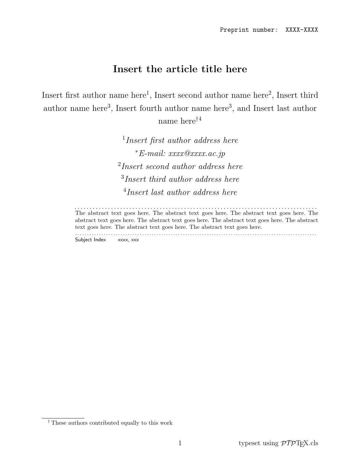# Insert the article title here

Insert first author name here<sup>1</sup>, Insert second author name here<sup>2</sup>, Insert third author name here<sup>3</sup>, Insert fourth author name here<sup>3</sup>, and Insert last author name here†<sup>4</sup>

> <sup>1</sup>Insert first author address here <sup>∗</sup>E-mail: xxxx@xxxx.ac.jp  $^{2}$ Insert second author address here 3 Insert third author address here 4 Insert last author address here

. . . . . . . . . . . . . . . . . . . . . . . . . . . . . . . . . . . . . . . . . . . . . . . . . . . . . . . . . . . . . . . . . . . . . . . . . . . . . . . . The abstract text goes here. The abstract text goes here. The abstract text goes here. The abstract text goes here. The abstract text goes here. The abstract text goes here. The abstract text goes here. The abstract text goes here. The abstract text goes here.

. . . . . . . . . . . . . . . . . . . . . . . . . . . . . . . . . . . . . . . . . . . . . . . . . . . . . . . . . . . . . . . . . . . . . . . . . . . . . . . . . . . . . . . . . . . . . . . . . . . . . Subject Index xxxx, xxx

<sup>†</sup> These authors contributed equally to this work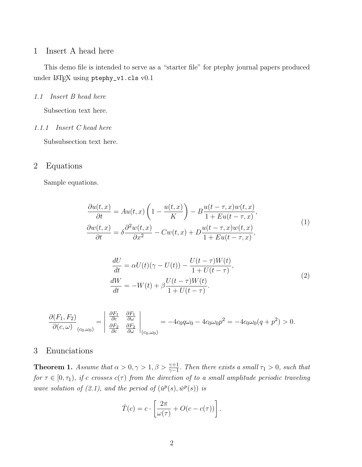## 1 Insert A head here

This demo file is intended to serve as a "starter file" for ptephy journal papers produced under LAT<sub>E</sub>X using ptephy\_v1.cls v0.1

### 1.1 Insert B head here

Subsection text here.

### 1.1.1 Insert C head here

Subsubsection text here.

# 2 Equations

Sample equations.

$$
\frac{\partial u(t,x)}{\partial t} = Au(t,x) \left( 1 - \frac{u(t,x)}{K} \right) - B \frac{u(t-\tau,x)w(t,x)}{1 + Eu(t-\tau,x)},
$$
\n
$$
\frac{\partial w(t,x)}{\partial t} = \delta \frac{\partial^2 w(t,x)}{\partial x^2} - Cw(t,x) + D \frac{u(t-\tau,x)w(t,x)}{1 + Eu(t-\tau,x)},
$$
\n(1)

$$
\frac{dU}{dt} = \alpha U(t)(\gamma - U(t)) - \frac{U(t - \tau)W(t)}{1 + U(t - \tau)},
$$
\n
$$
\frac{dW}{dt} = -W(t) + \beta \frac{U(t - \tau)W(t)}{1 + U(t - \tau)}.
$$
\n(2)

$$
\frac{\partial(F_1, F_2)}{\partial(c, \omega)}\bigg|_{(c_0, \omega_0)} = \begin{vmatrix} \frac{\partial F_1}{\partial c} & \frac{\partial F_1}{\partial \omega} \\ \frac{\partial F_2}{\partial c} & \frac{\partial F_2}{\partial \omega} \end{vmatrix}\bigg|_{(c_0, \omega_0)} = -4c_0q\omega_0 - 4c_0\omega_0p^2 = -4c_0\omega_0(q+p^2) > 0.
$$

# 3 Enunciations

**Theorem 1.** Assume that  $\alpha > 0, \gamma > 1, \beta > \frac{\gamma+1}{\gamma-1}$ . Then there exists a small  $\tau_1 > 0$ , such that for  $\tau \in [0, \tau_1)$ , if c crosses  $c(\tau)$  from the direction of to a small amplitude periodic traveling wave solution of (2.1), and the period of  $(\check{u}^p(s), \check{w}^p(s))$  is

$$
\tilde{T}(c) = c \cdot \left[ \frac{2\pi}{\omega(\tau)} + O(c - c(\tau)) \right].
$$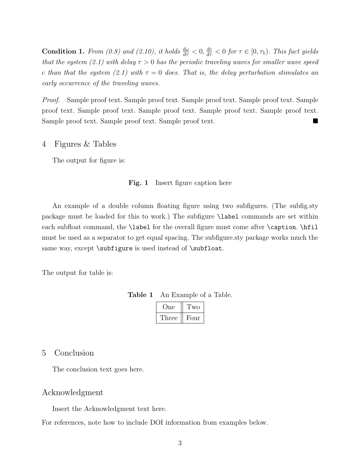**Condition 1.** From (0.8) and (2.10), it holds  $\frac{d\omega}{d\tau} < 0$ ,  $\frac{dc}{d\tau} < 0$  for  $\tau \in [0, \tau_1)$ . This fact yields that the system (2.1) with delay  $\tau > 0$  has the periodic traveling waves for smaller wave speed c than that the system (2.1) with  $\tau = 0$  does. That is, the delay perturbation stimulates an early occurrence of the traveling waves.

Proof. Sample proof text. Sample proof text. Sample proof text. Sample proof text. Sample proof text. Sample proof text. Sample proof text. Sample proof text. Sample proof text. Sample proof text. Sample proof text. Sample proof text.

4 Figures & Tables

The output for figure is:

#### Fig. 1 Insert figure caption here

An example of a double column floating figure using two subfigures. (The subfig.sty package must be loaded for this to work.) The subfigure \label commands are set within each subfloat command, the **\label** for the overall figure must come after **\caption.** \hfil must be used as a separator to get equal spacing. The subfigure.sty package works much the same way, except **\subfigure** is used instead of **\subfloat**.

The output for table is:

| One     | <u>I'wo</u> |
|---------|-------------|
| 'I'hree | Four        |

5 Conclusion

The conclusion text goes here.

### Acknowledgment

Insert the Acknowledgment text here.

For references, note how to include DOI information from examples below.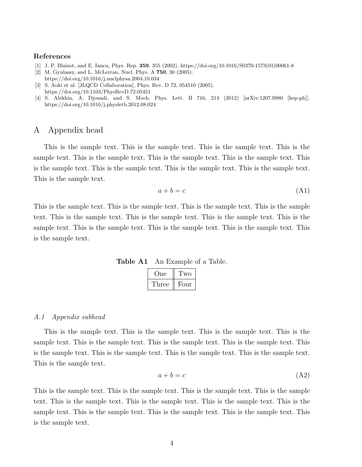#### References

- [1] J. P. Blaizot, and E. Iancu, Phys. Rep. 359, 355 (2002). https://doi.org/10.1016/S0370-1573(01)00061-8
- [2] M. Gyulassy, and L. McLerran, Nucl. Phys. A 750, 30 (2005).
- https://doi.org/10.1016/j.nuclphysa.2004.10.034
- [3] S. Aoki et al. [JLQCD Collaboration], Phys. Rev. D 72, 054510 (2005). https://doi.org/10.1103/PhysRevD.72.05451
- [4] S. Alekhin, A. Djouadi, and S. Moch, Phys. Lett. B 716, 214 (2012) [arXiv:1207.0980 [hep-ph]]. https://doi.org/10.1016/j.physletb.2012.08.024

### A Appendix head

This is the sample text. This is the sample text. This is the sample text. This is the sample text. This is the sample text. This is the sample text. This is the sample text. This is the sample text. This is the sample text. This is the sample text. This is the sample text. This is the sample text.

$$
a + b = c \tag{A1}
$$

This is the sample text. This is the sample text. This is the sample text. This is the sample text. This is the sample text. This is the sample text. This is the sample text. This is the sample text. This is the sample text. This is the sample text. This is the sample text. This is the sample text.

Table A1 An Example of a Table.

| One   | WΟ   |
|-------|------|
| Three | Four |

#### A.1 Appendix subhead

This is the sample text. This is the sample text. This is the sample text. This is the sample text. This is the sample text. This is the sample text. This is the sample text. This is the sample text. This is the sample text. This is the sample text. This is the sample text. This is the sample text.

$$
a + b = c \tag{A2}
$$

This is the sample text. This is the sample text. This is the sample text. This is the sample text. This is the sample text. This is the sample text. This is the sample text. This is the sample text. This is the sample text. This is the sample text. This is the sample text. This is the sample text.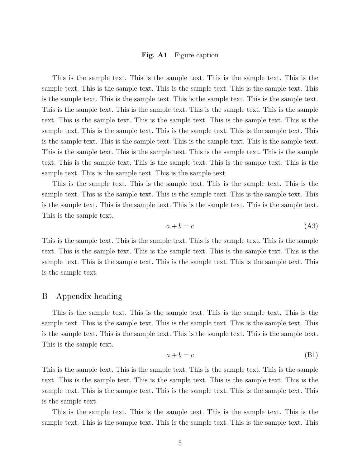#### Fig. A1 Figure caption

This is the sample text. This is the sample text. This is the sample text. This is the sample text. This is the sample text. This is the sample text. This is the sample text. This is the sample text. This is the sample text. This is the sample text. This is the sample text. This is the sample text. This is the sample text. This is the sample text. This is the sample text. This is the sample text. This is the sample text. This is the sample text. This is the sample text. This is the sample text. This is the sample text. This is the sample text. This is the sample text. This is the sample text. This is the sample text. This is the sample text. This is the sample text. This is the sample text. This is the sample text. This is the sample text. This is the sample text. This is the sample text. This is the sample text. This is the sample text. This is the sample text. This is the sample text.

This is the sample text. This is the sample text. This is the sample text. This is the sample text. This is the sample text. This is the sample text. This is the sample text. This is the sample text. This is the sample text. This is the sample text. This is the sample text. This is the sample text.

$$
a + b = c \tag{A3}
$$

This is the sample text. This is the sample text. This is the sample text. This is the sample text. This is the sample text. This is the sample text. This is the sample text. This is the sample text. This is the sample text. This is the sample text. This is the sample text. This is the sample text.

### B Appendix heading

This is the sample text. This is the sample text. This is the sample text. This is the sample text. This is the sample text. This is the sample text. This is the sample text. This is the sample text. This is the sample text. This is the sample text. This is the sample text. This is the sample text.

$$
a + b = c \tag{B1}
$$

This is the sample text. This is the sample text. This is the sample text. This is the sample text. This is the sample text. This is the sample text. This is the sample text. This is the sample text. This is the sample text. This is the sample text. This is the sample text. This is the sample text.

This is the sample text. This is the sample text. This is the sample text. This is the sample text. This is the sample text. This is the sample text. This is the sample text. This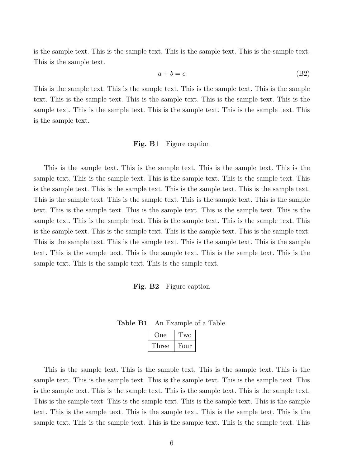is the sample text. This is the sample text. This is the sample text. This is the sample text. This is the sample text.

$$
a + b = c \tag{B2}
$$

This is the sample text. This is the sample text. This is the sample text. This is the sample text. This is the sample text. This is the sample text. This is the sample text. This is the sample text. This is the sample text. This is the sample text. This is the sample text. This is the sample text.

#### Fig. B1 Figure caption

This is the sample text. This is the sample text. This is the sample text. This is the sample text. This is the sample text. This is the sample text. This is the sample text. This is the sample text. This is the sample text. This is the sample text. This is the sample text. This is the sample text. This is the sample text. This is the sample text. This is the sample text. This is the sample text. This is the sample text. This is the sample text. This is the sample text. This is the sample text. This is the sample text. This is the sample text. This is the sample text. This is the sample text. This is the sample text. This is the sample text. This is the sample text. This is the sample text. This is the sample text. This is the sample text. This is the sample text. This is the sample text. This is the sample text. This is the sample text. This is the sample text. This is the sample text.

Fig. B2 Figure caption

Table B1 An Example of a Table.

| One)  | l WO |
|-------|------|
| Three | Four |

This is the sample text. This is the sample text. This is the sample text. This is the sample text. This is the sample text. This is the sample text. This is the sample text. This is the sample text. This is the sample text. This is the sample text. This is the sample text. This is the sample text. This is the sample text. This is the sample text. This is the sample text. This is the sample text. This is the sample text. This is the sample text. This is the sample text. This is the sample text. This is the sample text. This is the sample text. This